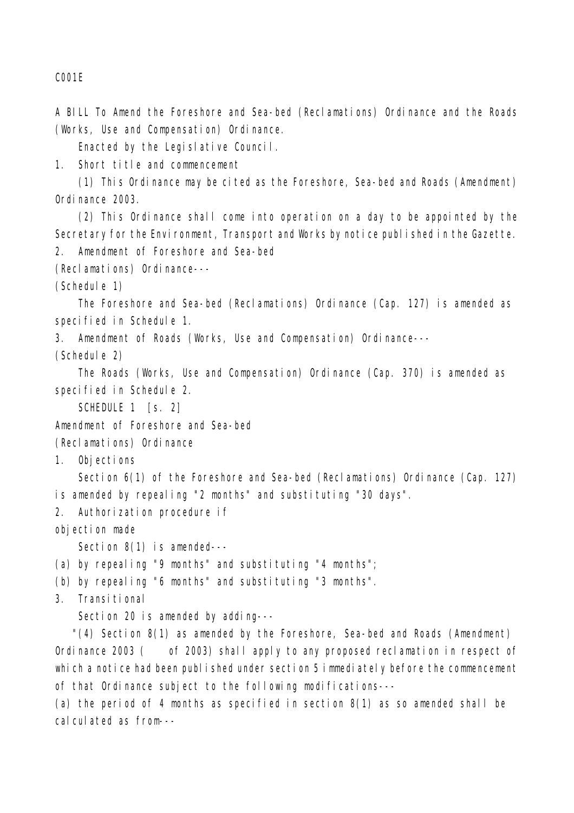C001E

A BILL To Amend the Foreshore and Sea-bed (Reclamations) Ordinance and the Roads (Works, Use and Compensation) Ordinance.

Enacted by the Legislative Council.

1. Short title and commencement

(1) This Ordinance may be cited as the Foreshore, Sea-bed and Roads (Amendment) Ordinance 2003.

(2) This Ordinance shall come into operation on a day to be appointed by the Secretary for the Environment, Transport and Works by notice published in the Gazette. 2. Amendment of Foreshore and Sea-bed

(Reclamations) Ordinance---

(Schedule 1)

The Foreshore and Sea-bed (Reclamations) Ordinance (Cap. 127) is amended as specified in Schedule 1.

3. Amendment of Roads (Works, Use and Compensation) Ordinance---

(Schedule 2)

The Roads (Works, Use and Compensation) Ordinance (Cap. 370) is amended as specified in Schedule 2.

SCHEDULE 1 [s. 2]

Amendment of Foreshore and Sea-bed

(Reclamations) Ordinance

1. Objections

Section 6(1) of the Foreshore and Sea-bed (Reclamations) Ordinance (Cap. 127) is amended by repealing "2 months" and substituting "30 days".

2. Authorization procedure if

objection made

Section 8(1) is amended---

(a) by repealing "9 months" and substituting "4 months";

(b) by repealing "6 months" and substituting "3 months".

3. Transitional

Section 20 is amended by adding---

 "(4) Section 8(1) as amended by the Foreshore, Sea-bed and Roads (Amendment) Ordinance 2003 ( of 2003) shall apply to any proposed reclamation in respect of which a notice had been published under section 5 immediately before the commencement of that Ordinance subject to the following modifications---

(a) the period of 4 months as specified in section 8(1) as so amended shall be calculated as from---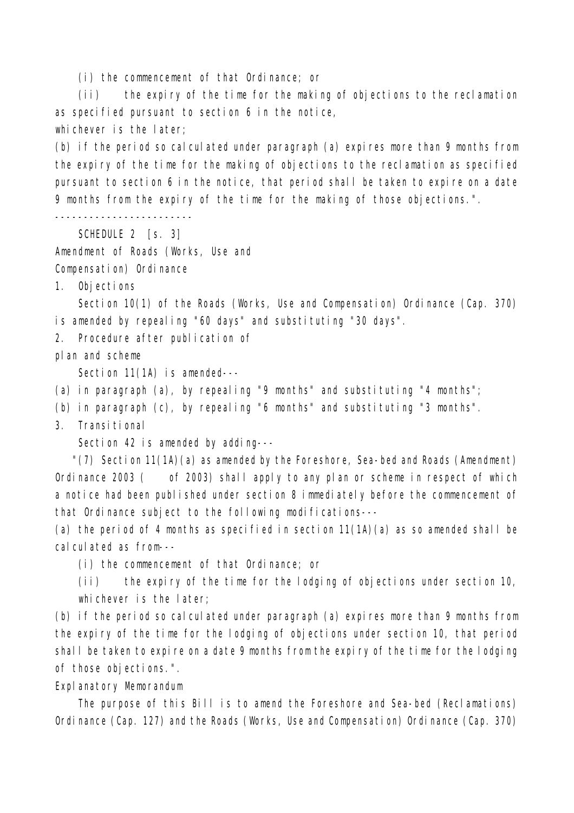(i) the commencement of that Ordinance; or

(ii) the expiry of the time for the making of objections to the reclamation as specified pursuant to section 6 in the notice, whichever is the later;

(b) if the period so calculated under paragraph (a) expires more than 9 months from the expiry of the time for the making of objections to the reclamation as specified pursuant to section 6 in the notice, that period shall be taken to expire on a date 9 months from the expiry of the time for the making of those objections.".

------------------------

SCHEDULE 2 [s. 3]

Amendment of Roads (Works, Use and

Compensation) Ordinance

1. Objections

Section 10(1) of the Roads (Works, Use and Compensation) Ordinance (Cap. 370) is amended by repealing "60 days" and substituting "30 days".

2. Procedure after publication of

plan and scheme

Section 11(1A) is amended---

(a) in paragraph (a), by repealing "9 months" and substituting "4 months";

(b) in paragraph (c), by repealing "6 months" and substituting "3 months".

3. Transitional

Section 42 is amended by adding---

 "(7) Section 11(1A)(a) as amended by the Foreshore, Sea-bed and Roads (Amendment) Ordinance 2003 ( of 2003) shall apply to any plan or scheme in respect of which a notice had been published under section 8 immediately before the commencement of that Ordinance subject to the following modifications---

(a) the period of 4 months as specified in section 11(1A)(a) as so amended shall be calculated as from---

(i) the commencement of that Ordinance; or

(ii) the expiry of the time for the lodging of objections under section 10, whichever is the later;

(b) if the period so calculated under paragraph (a) expires more than 9 months from the expiry of the time for the lodging of objections under section 10, that period shall be taken to expire on a date 9 months from the expiry of the time for the lodging of those objections.".

Explanatory Memorandum

The purpose of this Bill is to amend the Foreshore and Sea-bed (Reclamations) Ordinance (Cap. 127) and the Roads (Works, Use and Compensation) Ordinance (Cap. 370)